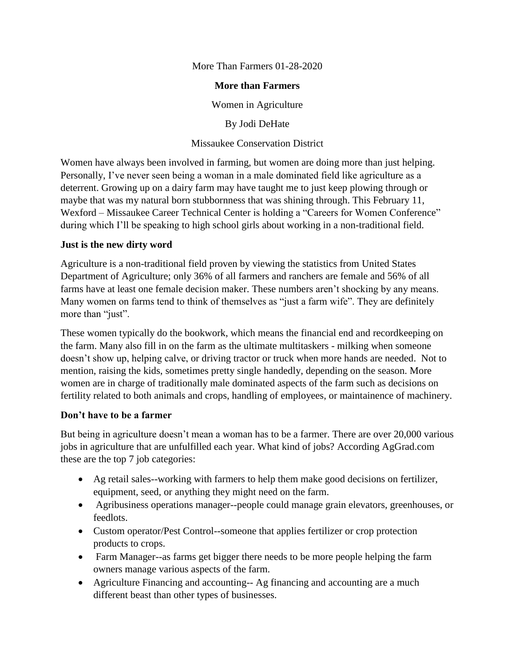More Than Farmers 01-28-2020

#### **More than Farmers**

Women in Agriculture

By Jodi DeHate

Missaukee Conservation District

Women have always been involved in farming, but women are doing more than just helping. Personally, I've never seen being a woman in a male dominated field like agriculture as a deterrent. Growing up on a dairy farm may have taught me to just keep plowing through or maybe that was my natural born stubbornness that was shining through. This February 11, Wexford – Missaukee Career Technical Center is holding a "Careers for Women Conference" during which I'll be speaking to high school girls about working in a non-traditional field.

# **Just is the new dirty word**

Agriculture is a non-traditional field proven by viewing the statistics from United States Department of Agriculture; only 36% of all farmers and ranchers are female and 56% of all farms have at least one female decision maker. These numbers aren't shocking by any means. Many women on farms tend to think of themselves as "just a farm wife". They are definitely more than "just".

These women typically do the bookwork, which means the financial end and recordkeeping on the farm. Many also fill in on the farm as the ultimate multitaskers - milking when someone doesn't show up, helping calve, or driving tractor or truck when more hands are needed. Not to mention, raising the kids, sometimes pretty single handedly, depending on the season. More women are in charge of traditionally male dominated aspects of the farm such as decisions on fertility related to both animals and crops, handling of employees, or maintainence of machinery.

# **Don't have to be a farmer**

But being in agriculture doesn't mean a woman has to be a farmer. There are over 20,000 various jobs in agriculture that are unfulfilled each year. What kind of jobs? According AgGrad.com these are the top 7 job categories:

- Ag retail sales--working with farmers to help them make good decisions on fertilizer, equipment, seed, or anything they might need on the farm.
- Agribusiness operations manager--people could manage grain elevators, greenhouses, or feedlots.
- Custom operator/Pest Control--someone that applies fertilizer or crop protection products to crops.
- Farm Manager--as farms get bigger there needs to be more people helping the farm owners manage various aspects of the farm.
- Agriculture Financing and accounting-- Ag financing and accounting are a much different beast than other types of businesses.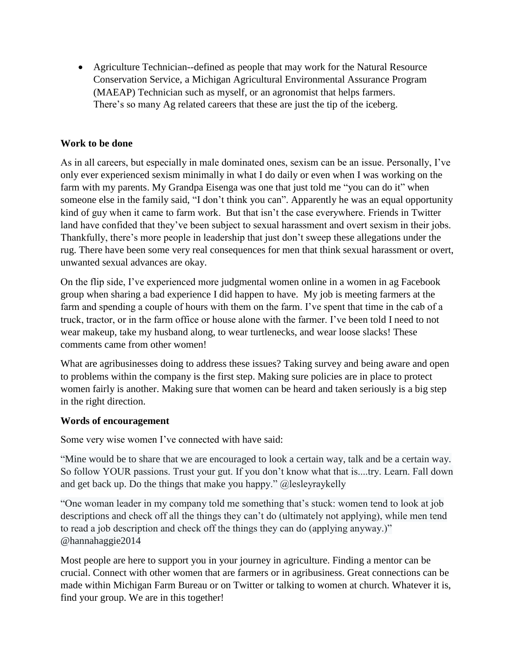Agriculture Technician--defined as people that may work for the Natural Resource Conservation Service, a Michigan Agricultural Environmental Assurance Program (MAEAP) Technician such as myself, or an agronomist that helps farmers. There's so many Ag related careers that these are just the tip of the iceberg.

### **Work to be done**

As in all careers, but especially in male dominated ones, sexism can be an issue. Personally, I've only ever experienced sexism minimally in what I do daily or even when I was working on the farm with my parents. My Grandpa Eisenga was one that just told me "you can do it" when someone else in the family said, "I don't think you can". Apparently he was an equal opportunity kind of guy when it came to farm work. But that isn't the case everywhere. Friends in Twitter land have confided that they've been subject to sexual harassment and overt sexism in their jobs. Thankfully, there's more people in leadership that just don't sweep these allegations under the rug. There have been some very real consequences for men that think sexual harassment or overt, unwanted sexual advances are okay.

On the flip side, I've experienced more judgmental women online in a women in ag Facebook group when sharing a bad experience I did happen to have. My job is meeting farmers at the farm and spending a couple of hours with them on the farm. I've spent that time in the cab of a truck, tractor, or in the farm office or house alone with the farmer. I've been told I need to not wear makeup, take my husband along, to wear turtlenecks, and wear loose slacks! These comments came from other women!

What are agribusinesses doing to address these issues? Taking survey and being aware and open to problems within the company is the first step. Making sure policies are in place to protect women fairly is another. Making sure that women can be heard and taken seriously is a big step in the right direction.

#### **Words of encouragement**

Some very wise women I've connected with have said:

"Mine would be to share that we are encouraged to look a certain way, talk and be a certain way. So follow YOUR passions. Trust your gut. If you don't know what that is....try. Learn. Fall down and get back up. Do the things that make you happy." @lesleyraykelly

"One woman leader in my company told me something that's stuck: women tend to look at job descriptions and check off all the things they can't do (ultimately not applying), while men tend to read a job description and check off the things they can do (applying anyway.)" @hannahaggie2014

Most people are here to support you in your journey in agriculture. Finding a mentor can be crucial. Connect with other women that are farmers or in agribusiness. Great connections can be made within Michigan Farm Bureau or on Twitter or talking to women at church. Whatever it is, find your group. We are in this together!